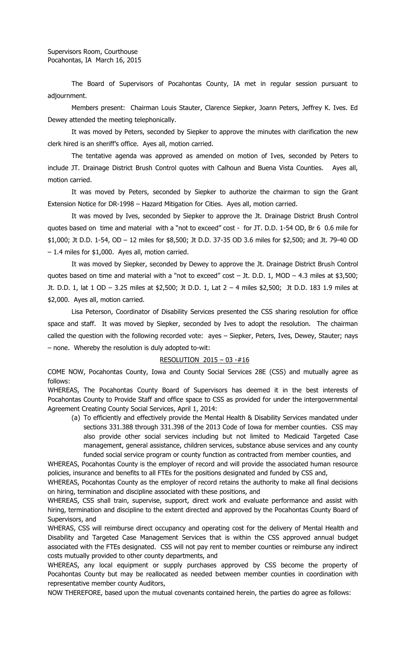The Board of Supervisors of Pocahontas County, IA met in regular session pursuant to adjournment.

Members present: Chairman Louis Stauter, Clarence Siepker, Joann Peters, Jeffrey K. Ives. Ed Dewey attended the meeting telephonically.

It was moved by Peters, seconded by Siepker to approve the minutes with clarification the new clerk hired is an sheriff's office. Ayes all, motion carried.

The tentative agenda was approved as amended on motion of Ives, seconded by Peters to include JT. Drainage District Brush Control quotes with Calhoun and Buena Vista Counties. Ayes all, motion carried.

It was moved by Peters, seconded by Siepker to authorize the chairman to sign the Grant Extension Notice for DR-1998 – Hazard Mitigation for Cities. Ayes all, motion carried.

It was moved by Ives, seconded by Siepker to approve the Jt. Drainage District Brush Control quotes based on time and material with a "not to exceed" cost - for JT. D.D. 1-54 OD, Br 6 0.6 mile for \$1,000; Jt D.D. 1-54, OD – 12 miles for \$8,500; Jt D.D. 37-35 OD 3.6 miles for \$2,500; and Jt. 79-40 OD – 1.4 miles for \$1,000. Ayes all, motion carried.

It was moved by Siepker, seconded by Dewey to approve the Jt. Drainage District Brush Control quotes based on time and material with a "not to exceed" cost  $-$  Jt. D.D. 1, MOD  $-$  4.3 miles at \$3,500; Jt. D.D. 1, lat 1 OD – 3.25 miles at \$2,500; Jt D.D. 1, Lat 2 – 4 miles \$2,500; Jt D.D. 183 1.9 miles at \$2,000. Ayes all, motion carried.

Lisa Peterson, Coordinator of Disability Services presented the CSS sharing resolution for office space and staff. It was moved by Siepker, seconded by Ives to adopt the resolution. The chairman called the question with the following recorded vote: ayes – Siepker, Peters, Ives, Dewey, Stauter; nays – none. Whereby the resolution is duly adopted to-wit:

## RESOLUTION 2015 – 03 -#16

COME NOW, Pocahontas County, Iowa and County Social Services 28E (CSS) and mutually agree as follows:

WHEREAS, The Pocahontas County Board of Supervisors has deemed it in the best interests of Pocahontas County to Provide Staff and office space to CSS as provided for under the intergovernmental Agreement Creating County Social Services, April 1, 2014:

(a) To efficiently and effectively provide the Mental Health & Disability Services mandated under sections 331.388 through 331.398 of the 2013 Code of Iowa for member counties. CSS may also provide other social services including but not limited to Medicaid Targeted Case management, general assistance, children services, substance abuse services and any county funded social service program or county function as contracted from member counties, and

WHEREAS, Pocahontas County is the employer of record and will provide the associated human resource policies, insurance and benefits to all FTEs for the positions designated and funded by CSS and,

WHEREAS, Pocahontas County as the employer of record retains the authority to make all final decisions on hiring, termination and discipline associated with these positions, and

WHEREAS, CSS shall train, supervise, support, direct work and evaluate performance and assist with hiring, termination and discipline to the extent directed and approved by the Pocahontas County Board of Supervisors, and

WHERAS, CSS will reimburse direct occupancy and operating cost for the delivery of Mental Health and Disability and Targeted Case Management Services that is within the CSS approved annual budget associated with the FTEs designated. CSS will not pay rent to member counties or reimburse any indirect costs mutually provided to other county departments, and

WHEREAS, any local equipment or supply purchases approved by CSS become the property of Pocahontas County but may be reallocated as needed between member counties in coordination with representative member county Auditors,

NOW THEREFORE, based upon the mutual covenants contained herein, the parties do agree as follows: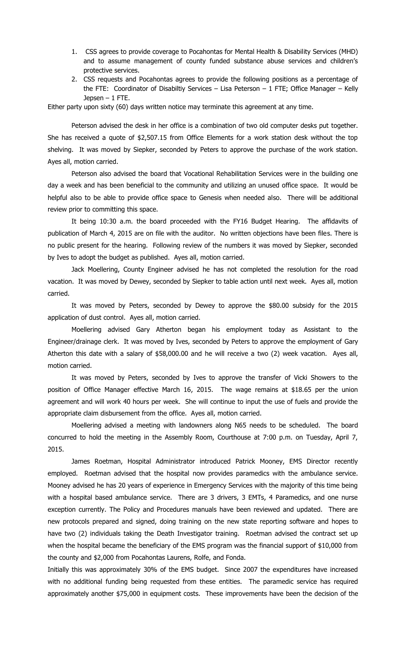- 1. CSS agrees to provide coverage to Pocahontas for Mental Health & Disability Services (MHD) and to assume management of county funded substance abuse services and children's protective services.
- 2. CSS requests and Pocahontas agrees to provide the following positions as a percentage of the FTE: Coordinator of Disabiltiy Services – Lisa Peterson – 1 FTE; Office Manager – Kelly Jepsen – 1 FTE.

Either party upon sixty (60) days written notice may terminate this agreement at any time.

Peterson advised the desk in her office is a combination of two old computer desks put together. She has received a quote of \$2,507.15 from Office Elements for a work station desk without the top shelving. It was moved by Siepker, seconded by Peters to approve the purchase of the work station. Ayes all, motion carried.

Peterson also advised the board that Vocational Rehabilitation Services were in the building one day a week and has been beneficial to the community and utilizing an unused office space. It would be helpful also to be able to provide office space to Genesis when needed also. There will be additional review prior to committing this space.

It being 10:30 a.m. the board proceeded with the FY16 Budget Hearing. The affidavits of publication of March 4, 2015 are on file with the auditor. No written objections have been files. There is no public present for the hearing. Following review of the numbers it was moved by Siepker, seconded by Ives to adopt the budget as published. Ayes all, motion carried.

Jack Moellering, County Engineer advised he has not completed the resolution for the road vacation. It was moved by Dewey, seconded by Siepker to table action until next week. Ayes all, motion carried.

It was moved by Peters, seconded by Dewey to approve the \$80.00 subsidy for the 2015 application of dust control. Ayes all, motion carried.

Moellering advised Gary Atherton began his employment today as Assistant to the Engineer/drainage clerk. It was moved by Ives, seconded by Peters to approve the employment of Gary Atherton this date with a salary of \$58,000.00 and he will receive a two (2) week vacation. Ayes all, motion carried.

It was moved by Peters, seconded by Ives to approve the transfer of Vicki Showers to the position of Office Manager effective March 16, 2015. The wage remains at \$18.65 per the union agreement and will work 40 hours per week. She will continue to input the use of fuels and provide the appropriate claim disbursement from the office. Ayes all, motion carried.

Moellering advised a meeting with landowners along N65 needs to be scheduled. The board concurred to hold the meeting in the Assembly Room, Courthouse at 7:00 p.m. on Tuesday, April 7, 2015.

James Roetman, Hospital Administrator introduced Patrick Mooney, EMS Director recently employed. Roetman advised that the hospital now provides paramedics with the ambulance service. Mooney advised he has 20 years of experience in Emergency Services with the majority of this time being with a hospital based ambulance service. There are 3 drivers, 3 EMTs, 4 Paramedics, and one nurse exception currently. The Policy and Procedures manuals have been reviewed and updated. There are new protocols prepared and signed, doing training on the new state reporting software and hopes to have two (2) individuals taking the Death Investigator training. Roetman advised the contract set up when the hospital became the beneficiary of the EMS program was the financial support of \$10,000 from the county and \$2,000 from Pocahontas Laurens, Rolfe, and Fonda.

Initially this was approximately 30% of the EMS budget. Since 2007 the expenditures have increased with no additional funding being requested from these entities. The paramedic service has required approximately another \$75,000 in equipment costs. These improvements have been the decision of the